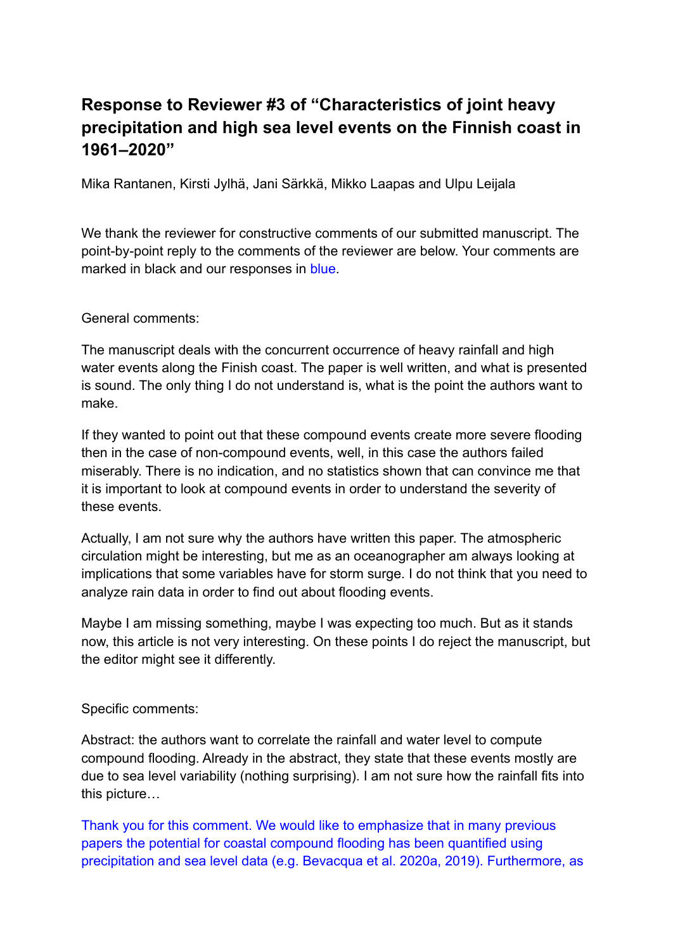## **Response to Reviewer #3 of "Characteristics of joint heavy precipitation and high sea level events on the Finnish coast in 1961–2020"**

Mika Rantanen, Kirsti Jylhä, Jani Särkkä, Mikko Laapas and Ulpu Leijala

We thank the reviewer for constructive comments of our submitted manuscript. The point-by-point reply to the comments of the reviewer are below. Your comments are marked in black and our responses in blue.

General comments:

The manuscript deals with the concurrent occurrence of heavy rainfall and high water events along the Finish coast. The paper is well written, and what is presented is sound. The only thing I do not understand is, what is the point the authors want to make.

If they wanted to point out that these compound events create more severe flooding then in the case of non-compound events, well, in this case the authors failed miserably. There is no indication, and no statistics shown that can convince me that it is important to look at compound events in order to understand the severity of these events.

Actually, I am not sure why the authors have written this paper. The atmospheric circulation might be interesting, but me as an oceanographer am always looking at implications that some variables have for storm surge. I do not think that you need to analyze rain data in order to find out about flooding events.

Maybe I am missing something, maybe I was expecting too much. But as it stands now, this article is not very interesting. On these points I do reject the manuscript, but the editor might see it differently.

Specific comments:

Abstract: the authors want to correlate the rainfall and water level to compute compound flooding. Already in the abstract, they state that these events mostly are due to sea level variability (nothing surprising). I am not sure how the rainfall fits into this picture…

Thank you for this comment. We would like to emphasize that in many previous papers the potential for coastal compound flooding has been quantified using precipitation and sea level data (e.g. Bevacqua et al. 2020a, 2019). Furthermore, as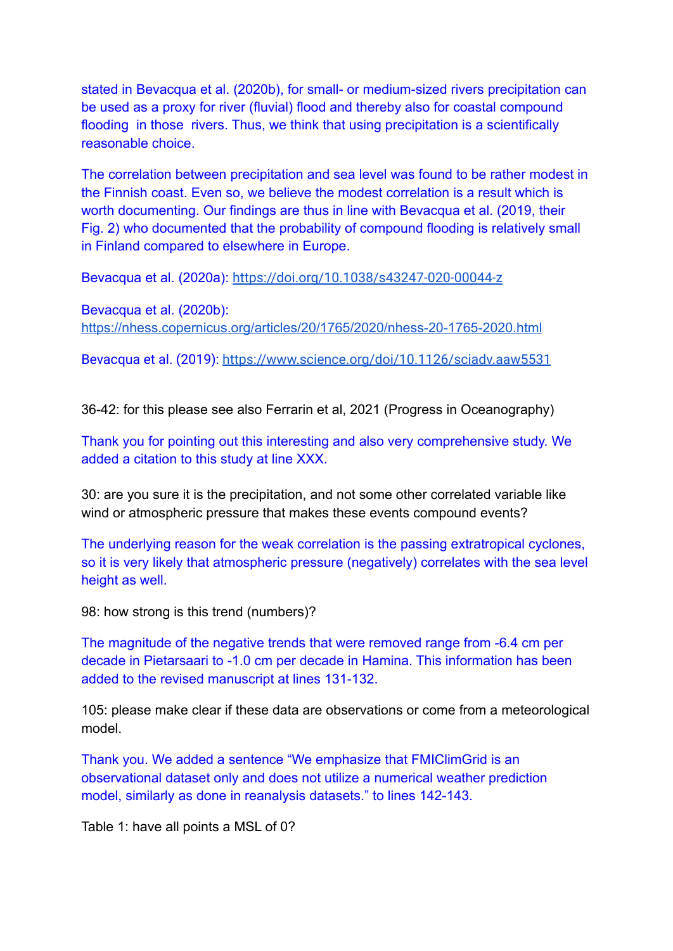stated in Bevacqua et al. (2020b), for small- or medium-sized rivers precipitation can be used as a proxy for river (fluvial) flood and thereby also for coastal compound flooding in those rivers. Thus, we think that using precipitation is a scientifically reasonable choice.

The correlation between precipitation and sea level was found to be rather modest in the Finnish coast. Even so, we believe the modest correlation is a result which is worth documenting. Our findings are thus in line with Bevacqua et al. (2019, their Fig. 2) who documented that the probability of compound flooding is relatively small in Finland compared to elsewhere in Europe.

Bevacqua et al. (2020a): <https://doi.org/10.1038/s43247-020-00044-z>

Bevacqua et al. (2020b): <https://nhess.copernicus.org/articles/20/1765/2020/nhess-20-1765-2020.html>

Bevacqua et al. (2019): <https://www.science.org/doi/10.1126/sciadv.aaw5531>

36-42: for this please see also Ferrarin et al, 2021 (Progress in Oceanography)

Thank you for pointing out this interesting and also very comprehensive study. We added a citation to this study at line XXX.

30: are you sure it is the precipitation, and not some other correlated variable like wind or atmospheric pressure that makes these events compound events?

The underlying reason for the weak correlation is the passing extratropical cyclones, so it is very likely that atmospheric pressure (negatively) correlates with the sea level height as well.

98: how strong is this trend (numbers)?

The magnitude of the negative trends that were removed range from -6.4 cm per decade in Pietarsaari to -1.0 cm per decade in Hamina. This information has been added to the revised manuscript at lines 131-132.

105: please make clear if these data are observations or come from a meteorological model.

Thank you. We added a sentence "We emphasize that FMIClimGrid is an observational dataset only and does not utilize a numerical weather prediction model, similarly as done in reanalysis datasets." to lines 142-143.

Table 1: have all points a MSL of 0?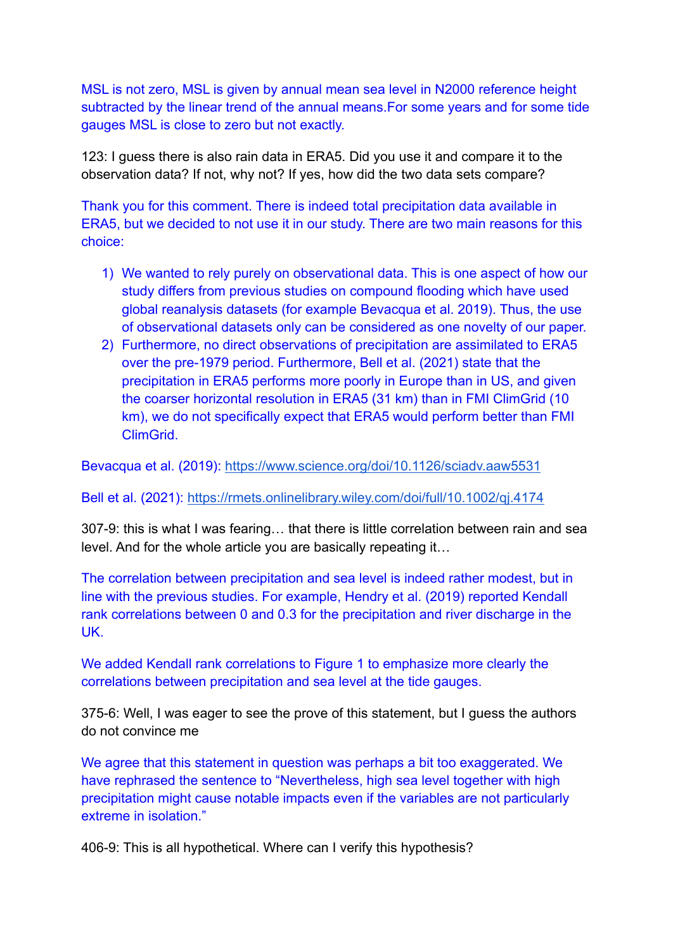MSL is not zero, MSL is given by annual mean sea level in N2000 reference height subtracted by the linear trend of the annual means.For some years and for some tide gauges MSL is close to zero but not exactly.

123: I guess there is also rain data in ERA5. Did you use it and compare it to the observation data? If not, why not? If yes, how did the two data sets compare?

Thank you for this comment. There is indeed total precipitation data available in ERA5, but we decided to not use it in our study. There are two main reasons for this choice:

- 1) We wanted to rely purely on observational data. This is one aspect of how our study differs from previous studies on compound flooding which have used global reanalysis datasets (for example Bevacqua et al. 2019). Thus, the use of observational datasets only can be considered as one novelty of our paper.
- 2) Furthermore, no direct observations of precipitation are assimilated to ERA5 over the pre-1979 period. Furthermore, Bell et al. (2021) state that the precipitation in ERA5 performs more poorly in Europe than in US, and given the coarser horizontal resolution in ERA5 (31 km) than in FMI ClimGrid (10 km), we do not specifically expect that ERA5 would perform better than FMI ClimGrid.

Bevacqua et al. (2019): <https://www.science.org/doi/10.1126/sciadv.aaw5531>

Bell et al. (2021): <https://rmets.onlinelibrary.wiley.com/doi/full/10.1002/qj.4174>

307-9: this is what I was fearing… that there is little correlation between rain and sea level. And for the whole article you are basically repeating it…

The correlation between precipitation and sea level is indeed rather modest, but in line with the previous studies. For example, Hendry et al. (2019) reported Kendall rank correlations between 0 and 0.3 for the precipitation and river discharge in the UK.

We added Kendall rank correlations to Figure 1 to emphasize more clearly the correlations between precipitation and sea level at the tide gauges.

375-6: Well, I was eager to see the prove of this statement, but I guess the authors do not convince me

We agree that this statement in question was perhaps a bit too exaggerated. We have rephrased the sentence to "Nevertheless, high sea level together with high precipitation might cause notable impacts even if the variables are not particularly extreme in isolation."

406-9: This is all hypothetical. Where can I verify this hypothesis?